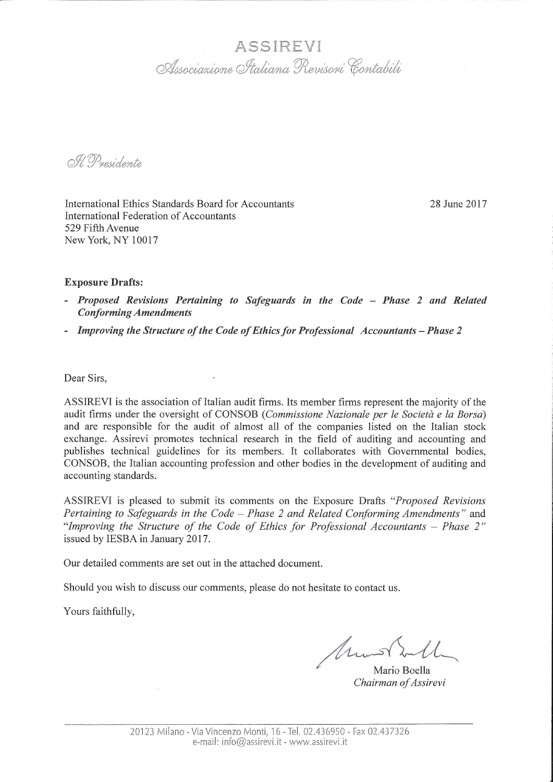## ASSIREVI Associazione Italiana Revisori Contabili

O.H. Presidente

International Ethics Standards Board for Accountants International Federation of Accountants 529 Fifth Avenue New York, NY 10017

28 June 2017

## **Exposure Drafts:**

- Proposed Revisions Pertaining to Safeguards in the Code Phase 2 and Related **Conforming Amendments**
- Improving the Structure of the Code of Ethics for Professional Accountants Phase 2

Dear Sirs.

ASSIREVI is the association of Italian audit firms. Its member firms represent the majority of the audit firms under the oversight of CONSOB (Commissione Nazionale per le Società e la Borsa) and are responsible for the audit of almost all of the companies listed on the Italian stock exchange. Assirevi promotes technical research in the field of auditing and accounting and publishes technical guidelines for its members. It collaborates with Governmental bodies, CONSOB, the Italian accounting profession and other bodies in the development of auditing and accounting standards.

ASSIREVI is pleased to submit its comments on the Exposure Drafts "Proposed Revisions" Pertaining to Safeguards in the Code – Phase 2 and Related Conforming Amendments" and "Improving the Structure of the Code of Ethics for Professional Accountants - Phase 2" issued by IESBA in January 2017.

Our detailed comments are set out in the attached document.

Should you wish to discuss our comments, please do not hesitate to contact us.

Yours faithfully,

Mm

Mario Boella Chairman of Assirevi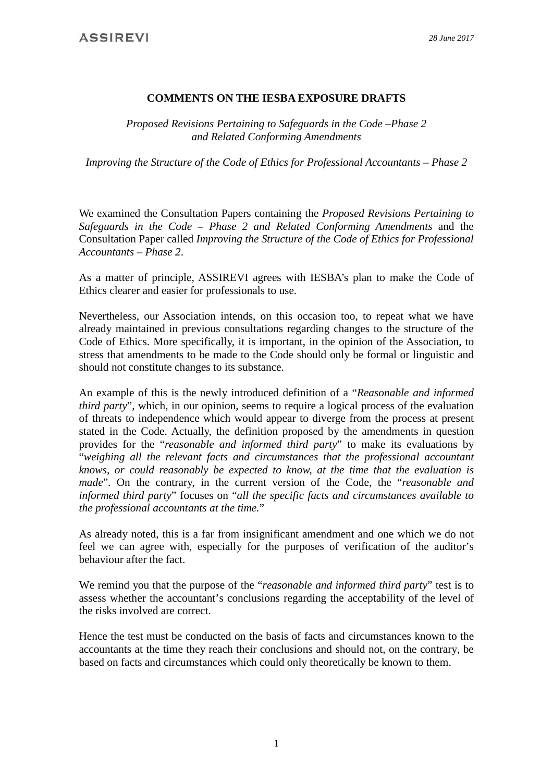## **COMMENTS ON THE IESBA EXPOSURE DRAFTS**

*Proposed Revisions Pertaining to Safeguards in the Code –Phase 2 and Related Conforming Amendments*

*Improving the Structure of the Code of Ethics for Professional Accountants – Phase 2*

We examined the Consultation Papers containing the *Proposed Revisions Pertaining to Safeguards in the Code – Phase 2 and Related Conforming Amendments* and the Consultation Paper called *Improving the Structure of the Code of Ethics for Professional Accountants – Phase 2*.

As a matter of principle, ASSIREVI agrees with IESBA's plan to make the Code of Ethics clearer and easier for professionals to use.

Nevertheless, our Association intends, on this occasion too, to repeat what we have already maintained in previous consultations regarding changes to the structure of the Code of Ethics. More specifically, it is important, in the opinion of the Association, to stress that amendments to be made to the Code should only be formal or linguistic and should not constitute changes to its substance.

An example of this is the newly introduced definition of a "*Reasonable and informed third party*", which, in our opinion, seems to require a logical process of the evaluation of threats to independence which would appear to diverge from the process at present stated in the Code. Actually, the definition proposed by the amendments in question provides for the "*reasonable and informed third party*" to make its evaluations by "*weighing all the relevant facts and circumstances that the professional accountant knows, or could reasonably be expected to know, at the time that the evaluation is made*". On the contrary, in the current version of the Code, the "*reasonable and informed third party*" focuses on "*all the specific facts and circumstances available to the professional accountants at the time.*"

As already noted, this is a far from insignificant amendment and one which we do not feel we can agree with, especially for the purposes of verification of the auditor's behaviour after the fact.

We remind you that the purpose of the "*reasonable and informed third party*" test is to assess whether the accountant's conclusions regarding the acceptability of the level of the risks involved are correct.

Hence the test must be conducted on the basis of facts and circumstances known to the accountants at the time they reach their conclusions and should not, on the contrary, be based on facts and circumstances which could only theoretically be known to them.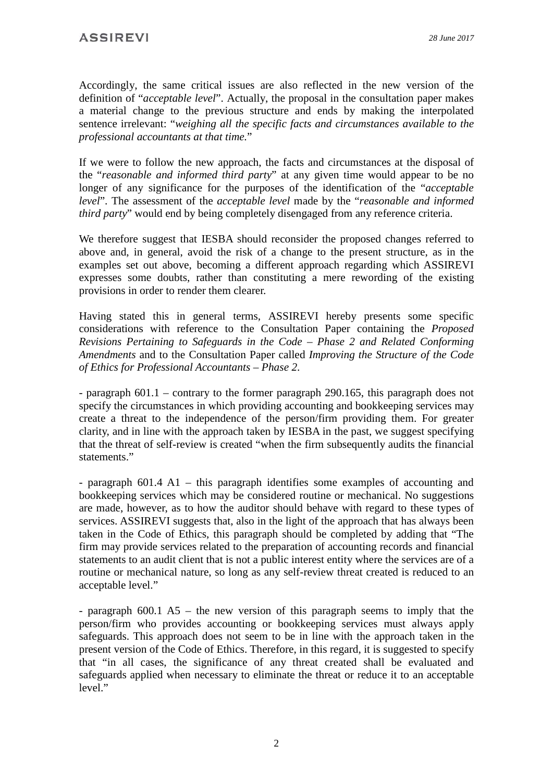Accordingly, the same critical issues are also reflected in the new version of the definition of "*acceptable level*". Actually, the proposal in the consultation paper makes a material change to the previous structure and ends by making the interpolated sentence irrelevant: "*weighing all the specific facts and circumstances available to the professional accountants at that time.*"

If we were to follow the new approach, the facts and circumstances at the disposal of the "*reasonable and informed third party*" at any given time would appear to be no longer of any significance for the purposes of the identification of the "*acceptable level*". The assessment of the *acceptable level* made by the "*reasonable and informed third party*" would end by being completely disengaged from any reference criteria.

We therefore suggest that IESBA should reconsider the proposed changes referred to above and, in general, avoid the risk of a change to the present structure, as in the examples set out above, becoming a different approach regarding which ASSIREVI expresses some doubts, rather than constituting a mere rewording of the existing provisions in order to render them clearer.

Having stated this in general terms, ASSIREVI hereby presents some specific considerations with reference to the Consultation Paper containing the *Proposed Revisions Pertaining to Safeguards in the Code – Phase 2 and Related Conforming Amendments* and to the Consultation Paper called *Improving the Structure of the Code of Ethics for Professional Accountants – Phase 2*.

- paragraph 601.1 – contrary to the former paragraph 290.165, this paragraph does not specify the circumstances in which providing accounting and bookkeeping services may create a threat to the independence of the person/firm providing them. For greater clarity, and in line with the approach taken by IESBA in the past, we suggest specifying that the threat of self-review is created "when the firm subsequently audits the financial statements."

- paragraph 601.4 A1 – this paragraph identifies some examples of accounting and bookkeeping services which may be considered routine or mechanical. No suggestions are made, however, as to how the auditor should behave with regard to these types of services. ASSIREVI suggests that, also in the light of the approach that has always been taken in the Code of Ethics, this paragraph should be completed by adding that "The firm may provide services related to the preparation of accounting records and financial statements to an audit client that is not a public interest entity where the services are of a routine or mechanical nature, so long as any self-review threat created is reduced to an acceptable level."

- paragraph 600.1 A5 – the new version of this paragraph seems to imply that the person/firm who provides accounting or bookkeeping services must always apply safeguards. This approach does not seem to be in line with the approach taken in the present version of the Code of Ethics. Therefore, in this regard, it is suggested to specify that "in all cases, the significance of any threat created shall be evaluated and safeguards applied when necessary to eliminate the threat or reduce it to an acceptable level."